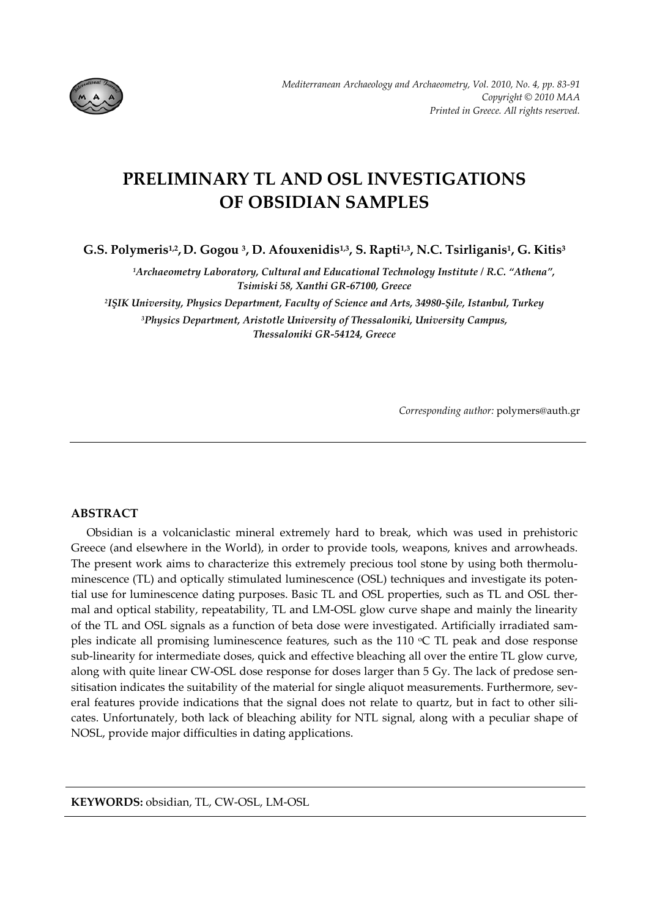

# **PRELIMINARY TL AND OSL INVESTIGATIONS OF OBSIDIAN SAMPLES**

**G.S. Polymeris1,2, D. Gogou 3, D. Afouxenidis1,3, S. Rapti1,3, N.C. Tsirliganis1, G. Kitis3**

*1Archaeometry Laboratory, Cultural and Educational Technology Institute / R.C. "Athena", Tsimiski 58, Xanthi GR‐67100, Greece*

*2IŞIK University, Physics Department, Faculty of Science and Arts, 34980‐Şile, Istanbul, Turkey 3Physics Department, Aristotle University of Thessaloniki, University Campus, Thessaloniki GR‐54124, Greece*

*Corresponding author:* polymers@auth.gr

## **ABSTRACT**

Obsidian is a volcaniclastic mineral extremely hard to break, which was used in prehistoric Greece (and elsewhere in the World), in order to provide tools, weapons, knives and arrowheads. The present work aims to characterize this extremely precious tool stone by using both thermoluminescence (TL) and optically stimulated luminescence (OSL) techniques and investigate its potential use for luminescence dating purposes. Basic TL and OSL properties, such as TL and OSL ther‐ mal and optical stability, repeatability, TL and LM‐OSL glow curve shape and mainly the linearity of the TL and OSL signals as a function of beta dose were investigated. Artificially irradiated sam‐ ples indicate all promising luminescence features, such as the  $110$  °C TL peak and dose response sub‐linearity for intermediate doses, quick and effective bleaching all over the entire TL glow curve, along with quite linear CW-OSL dose response for doses larger than 5 Gy. The lack of predose sensitisation indicates the suitability of the material for single aliquot measurements. Furthermore, several features provide indications that the signal does not relate to quartz, but in fact to other silicates. Unfortunately, both lack of bleaching ability for NTL signal, along with a peculiar shape of NOSL, provide major difficulties in dating applications.

**KEYWORDS:** obsidian, TL, CW‐OSL, LM‐OSL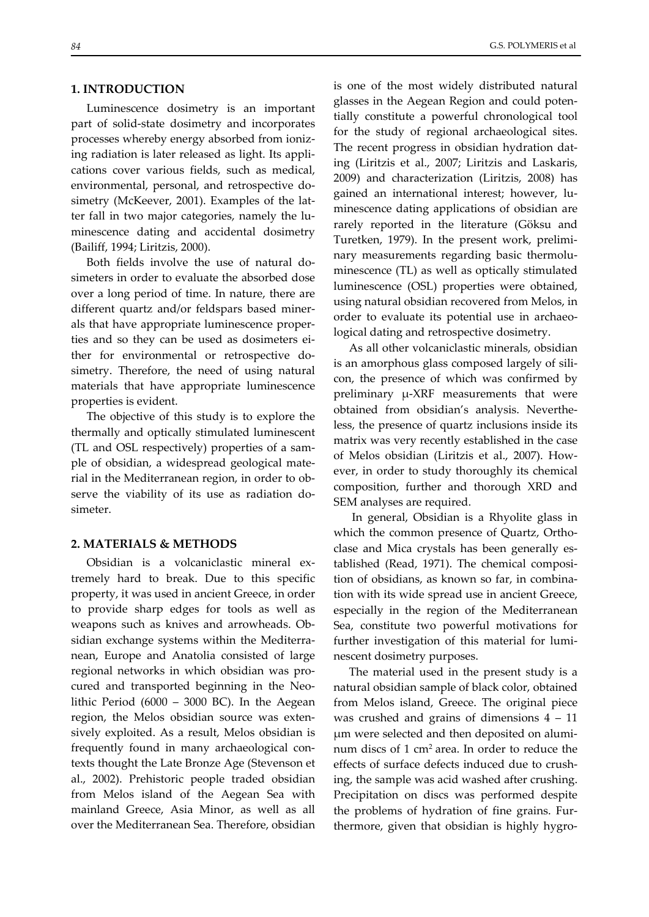## **1. INTRODUCTION**

Luminescence dosimetry is an important part of solid‐state dosimetry and incorporates processes whereby energy absorbed from ioniz‐ ing radiation is later released as light. Its appli‐ cations cover various fields, such as medical, environmental, personal, and retrospective do‐ simetry (McKeever, 2001). Examples of the latter fall in two major categories, namely the lu‐ minescence dating and accidental dosimetry (Bailiff, 1994; Liritzis, 2000).

Both fields involve the use of natural do‐ simeters in order to evaluate the absorbed dose over a long period of time. In nature, there are different quartz and/or feldspars based miner‐ als that have appropriate luminescence proper‐ ties and so they can be used as dosimeters either for environmental or retrospective dosimetry. Therefore, the need of using natural materials that have appropriate luminescence properties is evident.

The objective of this study is to explore the thermally and optically stimulated luminescent (TL and OSL respectively) properties of a sam‐ ple of obsidian, a widespread geological mate‐ rial in the Mediterranean region, in order to ob‐ serve the viability of its use as radiation do‐ simeter.

## **2. MATERIALS & METHODS**

Obsidian is a volcaniclastic mineral ex‐ tremely hard to break. Due to this specific property, it was used in ancient Greece, in order to provide sharp edges for tools as well as weapons such as knives and arrowheads. Ob‐ sidian exchange systems within the Mediterra‐ nean, Europe and Anatolia consisted of large regional networks in which obsidian was pro‐ cured and transported beginning in the Neo‐ lithic Period (6000 – 3000 BC). In the Aegean region, the Melos obsidian source was exten‐ sively exploited. As a result, Melos obsidian is frequently found in many archaeological con‐ texts thought the Late Bronze Age (Stevenson et al., 2002). Prehistoric people traded obsidian from Melos island of the Aegean Sea with mainland Greece, Asia Minor, as well as all over the Mediterranean Sea. Therefore, obsidian

is one of the most widely distributed natural glasses in the Aegean Region and could poten‐ tially constitute a powerful chronological tool for the study of regional archaeological sites. The recent progress in obsidian hydration dat‐ ing (Liritzis et al., 2007; Liritzis and Laskaris, 2009) and characterization (Liritzis, 2008) has gained an international interest; however, lu‐ minescence dating applications of obsidian are rarely reported in the literature (Göksu and Turetken, 1979). In the present work, prelimi‐ nary measurements regarding basic thermolu‐ minescence (TL) as well as optically stimulated luminescence (OSL) properties were obtained, using natural obsidian recovered from Melos, in order to evaluate its potential use in archaeo‐ logical dating and retrospective dosimetry.

As all other volcaniclastic minerals, obsidian is an amorphous glass composed largely of sili‐ con, the presence of which was confirmed by preliminary μ‐XRF measurements that were obtained from obsidian's analysis. Neverthe‐ less, the presence of quartz inclusions inside its matrix was very recently established in the case of Melos obsidian (Liritzis et al., 2007). How‐ ever, in order to study thoroughly its chemical composition, further and thorough XRD and SEM analyses are required.

In general, Obsidian is a Rhyolite glass in which the common presence of Quartz, Orthoclase and Mica crystals has been generally es‐ tablished (Read, 1971). The chemical composi‐ tion of obsidians, as known so far, in combina‐ tion with its wide spread use in ancient Greece, especially in the region of the Mediterranean Sea, constitute two powerful motivations for further investigation of this material for lumi‐ nescent dosimetry purposes.

The material used in the present study is a natural obsidian sample of black color, obtained from Melos island, Greece. The original piece was crushed and grains of dimensions 4 – 11 μm were selected and then deposited on alumi‐ num discs of 1 cm2 area. In order to reduce the effects of surface defects induced due to crush‐ ing, the sample was acid washed after crushing. Precipitation on discs was performed despite the problems of hydration of fine grains. Fur‐ thermore, given that obsidian is highly hygro‐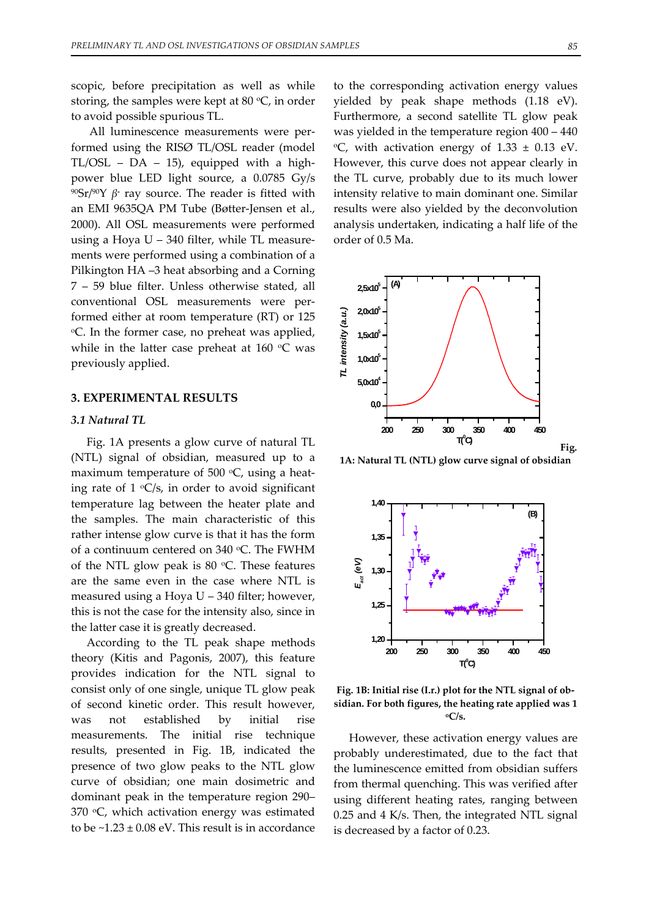scopic, before precipitation as well as while storing, the samples were kept at 80  $°C$ , in order to avoid possible spurious TL.

All luminescence measurements were per‐ formed using the RISØ TL/OSL reader (model  $TL/OSL - DA - 15$ , equipped with a highpower blue LED light source, a 0.0785 Gy/s 90Sr/90Y *β***‐** ray source. The reader is fitted with an EMI 9635QA PM Tube (Bøtter‐Jensen et al., 2000). All OSL measurements were performed using a Hoya  $U - 340$  filter, while TL measurements were performed using a combination of a Pilkington HA –3 heat absorbing and a Corning 7 – 59 blue filter. Unless otherwise stated, all conventional OSL measurements were per‐ formed either at room temperature (RT) or 125 oC. In the former case, no preheat was applied, while in the latter case preheat at  $160 °C$  was previously applied.

## **3. EXPERIMENTAL RESULTS**

## *3.1 Natural TL*

Fig. 1A presents a glow curve of natural TL (NTL) signal of obsidian, measured up to a maximum temperature of 500  $\degree$ C, using a heating rate of  $1 \text{ }^{\circ}C/s$ , in order to avoid significant temperature lag between the heater plate and the samples. The main characteristic of this rather intense glow curve is that it has the form of a continuum centered on 340 °C. The FWHM of the NTL glow peak is 80  $\degree$ C. These features are the same even in the case where NTL is measured using a Hoya U – 340 filter; however, this is not the case for the intensity also, since in the latter case it is greatly decreased.

According to the TL peak shape methods theory (Kitis and Pagonis, 2007), this feature provides indication for the NTL signal to consist only of one single, unique TL glow peak of second kinetic order. This result however, was not established by initial rise measurements. The initial rise technique results, presented in Fig. 1B, indicated the presence of two glow peaks to the NTL glow curve of obsidian; one main dosimetric and dominant peak in the temperature region 290–  $370$  °C, which activation energy was estimated to be  $\sim$ 1.23 ± 0.08 eV. This result is in accordance

to the corresponding activation energy values yielded by peak shape methods (1.18 eV). Furthermore, a second satellite TL glow peak was yielded in the temperature region 400 – 440  $\rm{O}^{\circ}$ C, with activation energy of 1.33  $\pm$  0.13 eV. However, this curve does not appear clearly in the TL curve, probably due to its much lower intensity relative to main dominant one. Similar results were also yielded by the deconvolution analysis undertaken, indicating a half life of the order of 0.5 Ma.



**1A: Natural TL (NTL) glow curve signal of obsidian**



**Fig. 1B: Initial rise (I.r.) plot for the NTL signal of ob‐ sidian. For both figures, the heating rate applied was 1 oC/s.**

However, these activation energy values are probably underestimated, due to the fact that the luminescence emitted from obsidian suffers from thermal quenching. This was verified after using different heating rates, ranging between 0.25 and 4 K/s. Then, the integrated NTL signal is decreased by a factor of 0.23.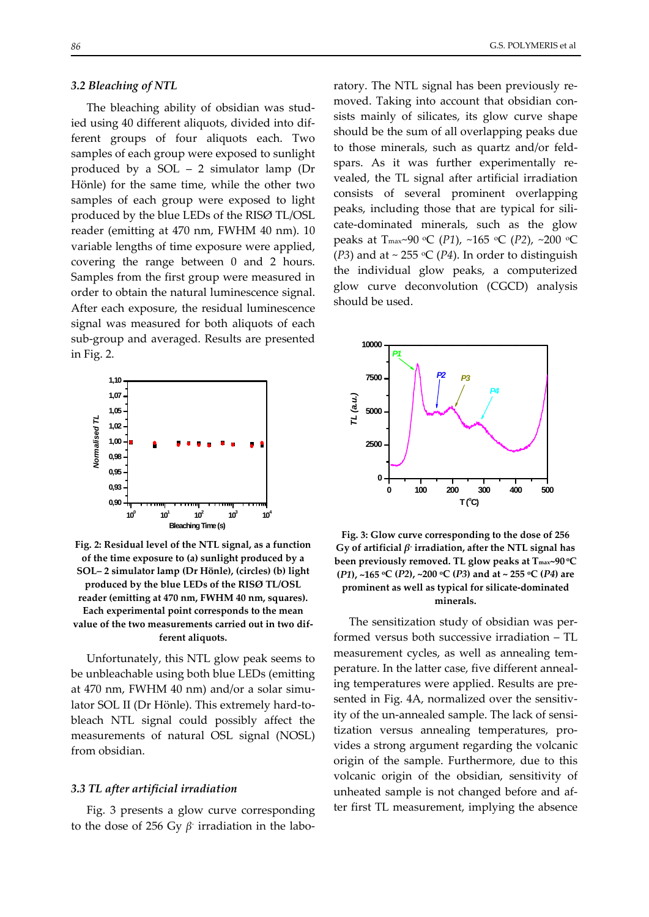#### *3.2 Bleaching of NTL*

The bleaching ability of obsidian was stud‐ ied using 40 different aliquots, divided into dif‐ ferent groups of four aliquots each. Two samples of each group were exposed to sunlight produced by a SOL – 2 simulator lamp (Dr Hönle) for the same time, while the other two samples of each group were exposed to light produced by the blue LEDs of the RISØ TL/OSL reader (emitting at 470 nm, FWHM 40 nm). 10 variable lengths of time exposure were applied, covering the range between 0 and 2 hours. Samples from the first group were measured in order to obtain the natural luminescence signal. After each exposure, the residual luminescence signal was measured for both aliquots of each sub‐group and averaged. Results are presented in Fig. 2.



**Fig. 2: Residual level of the NTL signal, as a function of the time exposure to (a) sunlight produced by a SOL– 2 simulator lamp (Dr Hönle), (circles) (b) light produced by the blue LEDs of the RISØ TL/OSL reader (emitting at 470 nm, FWHM 40 nm, squares). Each experimental point corresponds to the mean value of the two measurements carried out in two dif‐ ferent aliquots.**

Unfortunately, this NTL glow peak seems to be unbleachable using both blue LEDs (emitting at 470 nm, FWHM 40 nm) and/or a solar simu‐ lator SOL II (Dr Hönle). This extremely hard‐to‐ bleach NTL signal could possibly affect the measurements of natural OSL signal (NOSL) from obsidian.

#### *3.3 TL after artificial irradiation*

Fig. 3 presents a glow curve corresponding to the dose of 256 Gy *β‐* irradiation in the labo‐

ratory. The NTL signal has been previously re‐ moved. Taking into account that obsidian consists mainly of silicates, its glow curve shape should be the sum of all overlapping peaks due to those minerals, such as quartz and/or feld‐ spars. As it was further experimentally revealed, the TL signal after artificial irradiation consists of several prominent overlapping peaks, including those that are typical for sili‐ cate‐dominated minerals, such as the glow peaks at Tmax~90 oC (*P1*), ~165 oC (*P2*), ~200 oC ( $P3$ ) and at ~ 255 °C ( $P4$ ). In order to distinguish the individual glow peaks, a computerized glow curve deconvolution (CGCD) analysis



should be used.

**Fig. 3: Glow curve corresponding to the dose of 256 Gy of artificial** *β***‐ irradiation, after the NTL signal has been previously removed. TL glow peaks at Tmax~90 oC (***P1***), ~165 oC (***P2***), ~200 oC (***P3***) and at ~ 255 oC (***P4***) are prominent as well as typical for silicate‐dominated minerals.**

The sensitization study of obsidian was per‐ formed versus both successive irradiation – TL measurement cycles, as well as annealing tem‐ perature. In the latter case, five different anneal‐ ing temperatures were applied. Results are pre‐ sented in Fig. 4A, normalized over the sensitivity of the un‐annealed sample. The lack of sensi‐ tization versus annealing temperatures, pro‐ vides a strong argument regarding the volcanic origin of the sample. Furthermore, due to this volcanic origin of the obsidian, sensitivity of unheated sample is not changed before and af‐ ter first TL measurement, implying the absence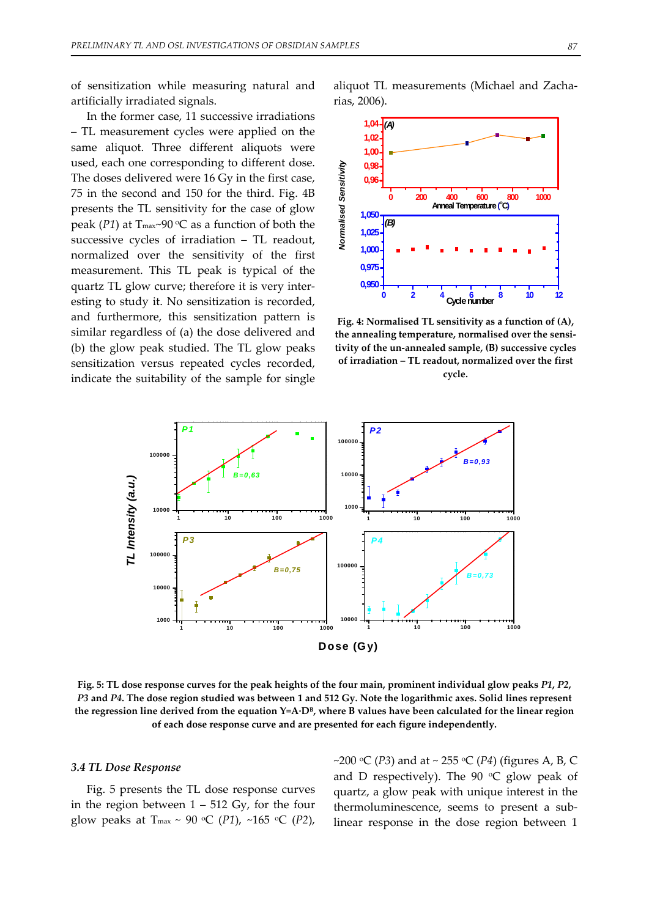of sensitization while measuring natural and artificially irradiated signals.

In the former case, 11 successive irradiations – TL measurement cycles were applied on the same aliquot. Three different aliquots were used, each one corresponding to different dose. The doses delivered were 16 Gy in the first case, 75 in the second and 150 for the third. Fig. 4B presents the TL sensitivity for the case of glow peak ( $P1$ ) at T<sub>max</sub>~90 °C as a function of both the successive cycles of irradiation – TL readout, normalized over the sensitivity of the first measurement. This TL peak is typical of the quartz TL glow curve; therefore it is very inter‐ esting to study it. No sensitization is recorded, and furthermore, this sensitization pattern is similar regardless of (a) the dose delivered and (b) the glow peak studied. The TL glow peaks sensitization versus repeated cycles recorded, indicate the suitability of the sample for single aliquot TL measurements (Michael and Zacha‐ rias, 2006).



**Fig. 4: Normalised TL sensitivity as a function of (A), the annealing temperature, normalised over the sensi‐ tivity of the un‐annealed sample, (B) successive cycles of irradiation – TL readout, normalized over the first cycle.** 



Fig. 5: TL dose response curves for the peak heights of the four main, prominent individual glow peaks P1, P2, P3 and P4. The dose region studied was between 1 and 512 Gy. Note the logarithmic axes. Solid lines represent the regression line derived from the equation  $Y=A \cdot D^B$ , where B values have been calculated for the linear region **of each dose response curve and are presented for each figure independently.**

#### *3.4 TL Dose Response*

Fig. 5 presents the TL dose response curves in the region between  $1 - 512$  Gy, for the four glow peaks at T<sub>max</sub> ~ 90 °C (*P1*), ~165 °C (*P2*), ~200  $\circ$ C (*P3*) and at ~ 255  $\circ$ C (*P4*) (figures A, B, C and D respectively). The  $90 °C$  glow peak of quartz, a glow peak with unique interest in the thermoluminescence, seems to present a sub‐ linear response in the dose region between 1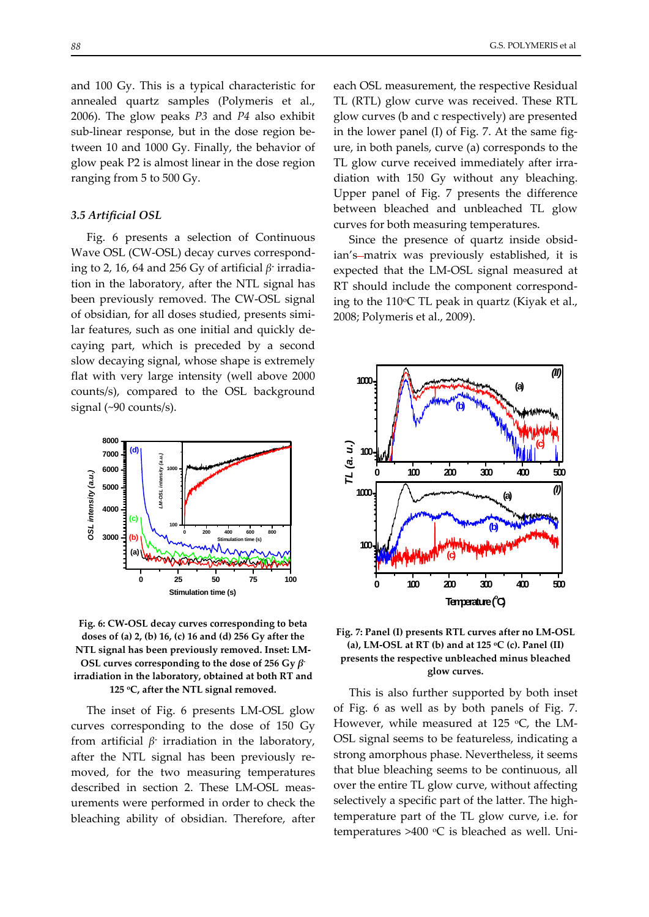and 100 Gy. This is a typical characteristic for annealed quartz samples (Polymeris et al., 2006). The glow peaks *P3* and *P4* also exhibit sub-linear response, but in the dose region between 10 and 1000 Gy. Finally, the behavior of glow peak P2 is almost linear in the dose region ranging from 5 to 500 Gy.

#### *3.5 Artificial OSL*

Fig. 6 presents a selection of Continuous Wave OSL (CW‐OSL) decay curves correspond‐ ing to 2, 16, 64 and 256 Gy of artificial *β***‐** irradia‐ tion in the laboratory, after the NTL signal has been previously removed. The CW‐OSL signal of obsidian, for all doses studied, presents simi‐ lar features, such as one initial and quickly de‐ caying part, which is preceded by a second slow decaying signal, whose shape is extremely flat with very large intensity (well above 2000 counts/s), compared to the OSL background signal (~90 counts/s).



**Fig. 6: CW‐OSL decay curves corresponding to beta doses of (a) 2, (b) 16, (c) 16 and (d) 256 Gy after the NTL signal has been previously removed. Inset: LM‐ OSL curves corresponding to the dose of 256 Gy** *β***‐ irradiation in the laboratory, obtained at both RT and 125 oC, after the NTL signal removed.**

The inset of Fig. 6 presents LM‐OSL glow curves corresponding to the dose of 150 Gy from artificial *β***‐** irradiation in the laboratory, after the NTL signal has been previously re‐ moved, for the two measuring temperatures described in section 2. These LM‐OSL meas‐ urements were performed in order to check the bleaching ability of obsidian. Therefore, after each OSL measurement, the respective Residual TL (RTL) glow curve was received. These RTL glow curves (b and c respectively) are presented in the lower panel (I) of Fig. 7. At the same figure, in both panels, curve (a) corresponds to the TL glow curve received immediately after irra‐ diation with 150 Gy without any bleaching. Upper panel of Fig. 7 presents the difference between bleached and unbleached TL glow curves for both measuring temperatures.

Since the presence of quartz inside obsid‐ ian's-matrix was previously established, it is expected that the LM‐OSL signal measured at RT should include the component correspond‐ ing to the  $110^{\circ}$ C TL peak in quartz (Kiyak et al., 2008; Polymeris et al., 2009).



**Fig. 7: Panel (I) presents RTL curves after no LM‐OSL (a), LM‐OSL at RT (b) and at 125 oC (c). Panel (II) presents the respective unbleached minus bleached glow curves.**

This is also further supported by both inset of Fig. 6 as well as by both panels of Fig. 7. However, while measured at 125  $\mathrm{C}$ , the LM-OSL signal seems to be featureless, indicating a strong amorphous phase. Nevertheless, it seems that blue bleaching seems to be continuous, all over the entire TL glow curve, without affecting selectively a specific part of the latter. The hightemperature part of the TL glow curve, i.e. for temperatures >400  $\degree$ C is bleached as well. Uni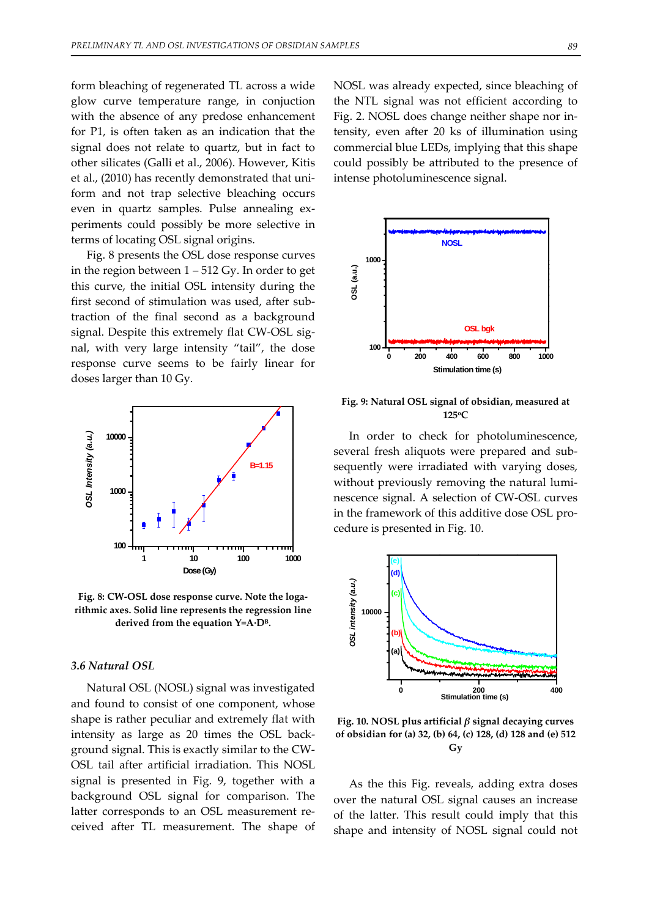form bleaching of regenerated TL across a wide glow curve temperature range, in conjuction with the absence of any predose enhancement for P1, is often taken as an indication that the signal does not relate to quartz, but in fact to other silicates (Galli et al., 2006). However, Kitis et al., (2010) has recently demonstrated that uni‐ form and not trap selective bleaching occurs even in quartz samples. Pulse annealing experiments could possibly be more selective in terms of locating OSL signal origins.

Fig. 8 presents the OSL dose response curves in the region between  $1 - 512$  Gy. In order to get this curve, the initial OSL intensity during the first second of stimulation was used, after sub‐ traction of the final second as a background signal. Despite this extremely flat CW-OSL signal, with very large intensity "tail", the dose response curve seems to be fairly linear for doses larger than 10 Gy.



**Fig. 8: CW‐OSL dose response curve. Note the loga‐ rithmic axes. Solid line represents the regression line derived from the equation Y=A∙DB.**

## *3.6 Natural OSL*

Natural OSL (NOSL) signal was investigated and found to consist of one component, whose shape is rather peculiar and extremely flat with intensity as large as 20 times the OSL back‐ ground signal. This is exactly similar to the CW‐ OSL tail after artificial irradiation. This NOSL signal is presented in Fig. 9, together with a background OSL signal for comparison. The latter corresponds to an OSL measurement re‐ ceived after TL measurement. The shape of NOSL was already expected, since bleaching of the NTL signal was not efficient according to Fig. 2. NOSL does change neither shape nor in‐ tensity, even after 20 ks of illumination using commercial blue LEDs, implying that this shape could possibly be attributed to the presence of intense photoluminescence signal.



**Fig. 9: Natural OSL signal of obsidian, measured at 125oC**

In order to check for photoluminescence, several fresh aliquots were prepared and sub‐ sequently were irradiated with varying doses, without previously removing the natural luminescence signal. A selection of CW‐OSL curves in the framework of this additive dose OSL pro‐ cedure is presented in Fig. 10.



**Fig. 10. NOSL plus artificial** *β* **signal decaying curves of obsidian for (a) 32, (b) 64, (c) 128, (d) 128 and (e) 512 Gy**

As the this Fig. reveals, adding extra doses over the natural OSL signal causes an increase of the latter. This result could imply that this shape and intensity of NOSL signal could not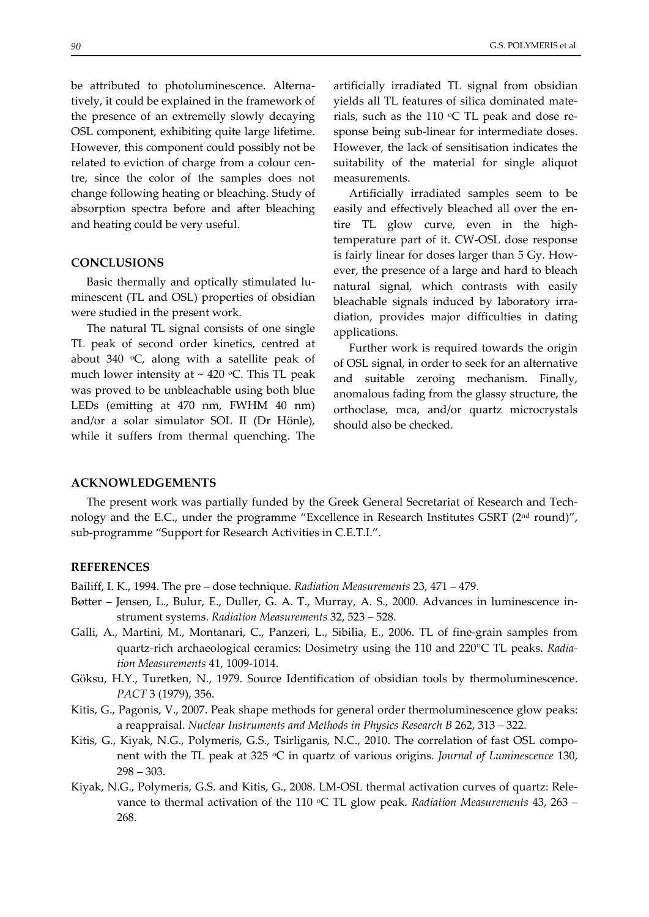be attributed to photoluminescence. Alternatively, it could be explained in the framework of the presence of an extremelly slowly decaying OSL component, exhibiting quite large lifetime. However, this component could possibly not be related to eviction of charge from a colour centre, since the color of the samples does not change following heating or bleaching. Study of absorption spectra before and after bleaching and heating could be very useful.

## **CONCLUSIONS**

Basic thermally and optically stimulated lu‐ minescent (TL and OSL) properties of obsidian were studied in the present work.

The natural TL signal consists of one single TL peak of second order kinetics, centred at about 340  $\degree$ C, along with a satellite peak of much lower intensity at  $\sim$  420 °C. This TL peak was proved to be unbleachable using both blue LEDs (emitting at 470 nm, FWHM 40 nm) and/or a solar simulator SOL II (Dr Hönle), while it suffers from thermal quenching. The artificially irradiated TL signal from obsidian yields all TL features of silica dominated mate‐ rials, such as the 110  $\degree$ C TL peak and dose response being sub‐linear for intermediate doses. However, the lack of sensitisation indicates the suitability of the material for single aliquot measurements.

Artificially irradiated samples seem to be easily and effectively bleached all over the entire TL glow curve, even in the hightemperature part of it. CW‐OSL dose response is fairly linear for doses larger than 5 Gy. However, the presence of a large and hard to bleach natural signal, which contrasts with easily bleachable signals induced by laboratory irra‐ diation, provides major difficulties in dating applications.

Further work is required towards the origin of OSL signal, in order to seek for an alternative and suitable zeroing mechanism. Finally, anomalous fading from the glassy structure, the orthoclase, mca, and/or quartz microcrystals should also be checked.

## **ACKNOWLEDGEMENTS**

The present work was partially funded by the Greek General Secretariat of Research and Technology and the E.C., under the programme "Excellence in Research Institutes GSRT (2<sup>nd</sup> round)", sub-programme "Support for Research Activities in C.E.T.I.".

## **REFERENCES**

Bailiff, I. K., 1994. The pre – dose technique. *Radiation Measurements* 23, 471 – 479.

- Bøtter Jensen, L., Bulur, E., Duller, G. A. T., Murray, A. S., 2000. Advances in luminescence in‐ strument systems. *Radiation Measurements* 32, 523 – 528.
- Galli, A., Martini, M., Montanari, C., Panzeri, L., Sibilia, E., 2006. TL of fine‐grain samples from quartz‐rich archaeological ceramics: Dosimetry using the 110 and 220°C TL peaks. *Radia‐ tion Measurements* 41, 1009‐1014.
- Göksu, H.Y., Turetken, N., 1979. Source Identification of obsidian tools by thermoluminescence. *PACT* 3 (1979), 356.
- Kitis, G., Pagonis, V., 2007. Peak shape methods for general order thermoluminescence glow peaks: a reappraisal. *Nuclear Instruments and Methods in Physics Research B* 262, 313 – 322.
- Kitis, G., Kiyak, N.G., Polymeris, G.S., Tsirliganis, N.C., 2010. The correlation of fast OSL compo‐ nent with the TL peak at 325 oC in quartz of various origins. *Journal of Luminescence* 130,  $298 - 303.$
- Kiyak, N.G., Polymeris, G.S. and Kitis, G., 2008. LM‐OSL thermal activation curves of quartz: Rele‐ vance to thermal activation of the 110 °C TL glow peak. *Radiation Measurements* 43, 263 – 268.